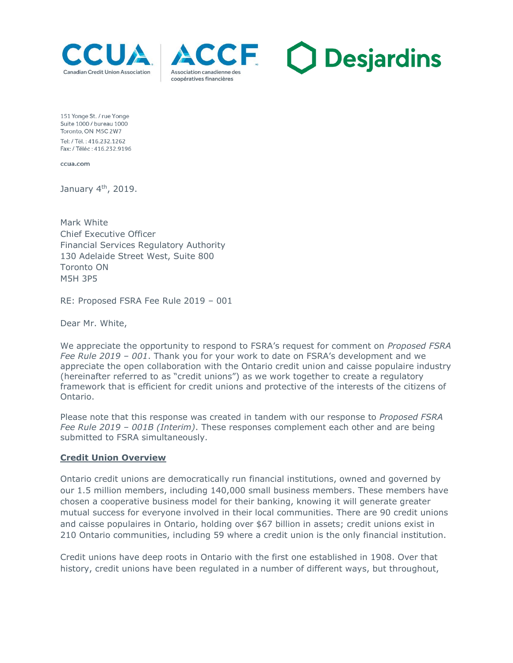





151 Yonge St. / rue Yonge Suite 1000 / bureau 1000 Toronto, ON M5C 2W7 Tel: / Tél.: 416.232.1262 Fax: / Téléc: 416.232.9196

ccua.com

January 4<sup>th</sup>, 2019.

Mark White Chief Executive Officer Financial Services Regulatory Authority 130 Adelaide Street West, Suite 800 Toronto ON M5H 3P5

RE: Proposed FSRA Fee Rule 2019 – 001

Dear Mr. White,

We appreciate the opportunity to respond to FSRA's request for comment on *Proposed FSRA Fee Rule 2019 – 001*. Thank you for your work to date on FSRA's development and we appreciate the open collaboration with the Ontario credit union and caisse populaire industry (hereinafter referred to as "credit unions") as we work together to create a regulatory framework that is efficient for credit unions and protective of the interests of the citizens of Ontario.

Please note that this response was created in tandem with our response to *Proposed FSRA Fee Rule 2019 – 001B (Interim)*. These responses complement each other and are being submitted to FSRA simultaneously.

#### **Credit Union Overview**

Ontario credit unions are democratically run financial institutions, owned and governed by our 1.5 million members, including 140,000 small business members. These members have chosen a cooperative business model for their banking, knowing it will generate greater mutual success for everyone involved in their local communities. There are 90 credit unions and caisse populaires in Ontario, holding over \$67 billion in assets; credit unions exist in 210 Ontario communities, including 59 where a credit union is the only financial institution.

Credit unions have deep roots in Ontario with the first one established in 1908. Over that history, credit unions have been regulated in a number of different ways, but throughout,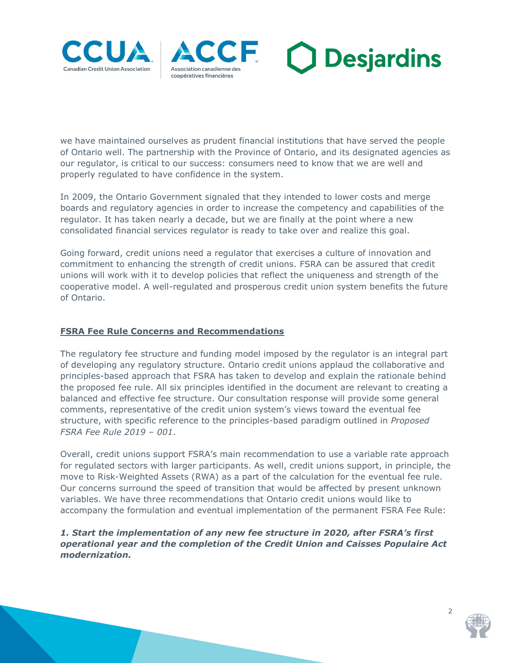





we have maintained ourselves as prudent financial institutions that have served the people of Ontario well. The partnership with the Province of Ontario, and its designated agencies as our regulator, is critical to our success: consumers need to know that we are well and properly regulated to have confidence in the system.

In 2009, the Ontario Government signaled that they intended to lower costs and merge boards and regulatory agencies in order to increase the competency and capabilities of the regulator. It has taken nearly a decade, but we are finally at the point where a new consolidated financial services regulator is ready to take over and realize this goal.

Going forward, credit unions need a regulator that exercises a culture of innovation and commitment to enhancing the strength of credit unions. FSRA can be assured that credit unions will work with it to develop policies that reflect the uniqueness and strength of the cooperative model. A well-regulated and prosperous credit union system benefits the future of Ontario.

## **FSRA Fee Rule Concerns and Recommendations**

The regulatory fee structure and funding model imposed by the regulator is an integral part of developing any regulatory structure. Ontario credit unions applaud the collaborative and principles-based approach that FSRA has taken to develop and explain the rationale behind the proposed fee rule. All six principles identified in the document are relevant to creating a balanced and effective fee structure. Our consultation response will provide some general comments, representative of the credit union system's views toward the eventual fee structure, with specific reference to the principles-based paradigm outlined in *Proposed FSRA Fee Rule 2019 – 001*.

Overall, credit unions support FSRA's main recommendation to use a variable rate approach for regulated sectors with larger participants. As well, credit unions support, in principle, the move to Risk-Weighted Assets (RWA) as a part of the calculation for the eventual fee rule. Our concerns surround the speed of transition that would be affected by present unknown variables. We have three recommendations that Ontario credit unions would like to accompany the formulation and eventual implementation of the permanent FSRA Fee Rule:

# *1. Start the implementation of any new fee structure in 2020, after FSRA's first operational year and the completion of the Credit Union and Caisses Populaire Act modernization.*



 $\overline{2}$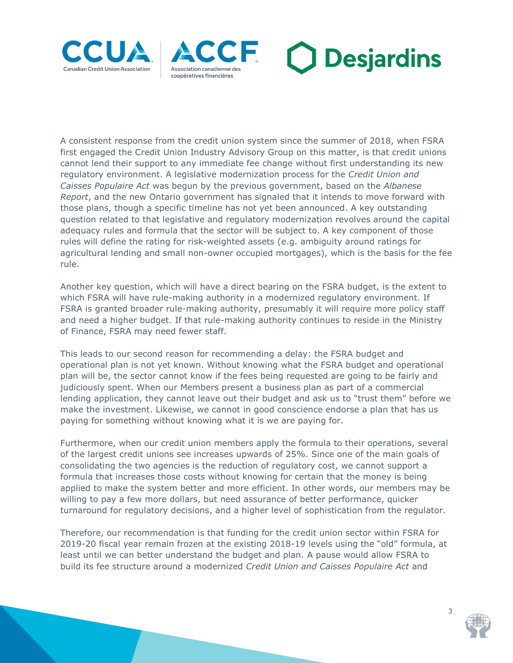





A consistent response from the credit union system since the summer of 2018, when FSRA first engaged the Credit Union Industry Advisory Group on this matter, is that credit unions cannot lend their support to any immediate fee change without first understanding its new regulatory environment. A legislative modernization process for the *Credit Union and Caisses Populaire Act* was begun by the previous government, based on the *Albanese Report*, and the new Ontario government has signaled that it intends to move forward with those plans, though a specific timeline has not yet been announced. A key outstanding question related to that legislative and regulatory modernization revolves around the capital adequacy rules and formula that the sector will be subject to. A key component of those rules will define the rating for risk-weighted assets (e.g. ambiguity around ratings for agricultural lending and small non-owner occupied mortgages), which is the basis for the fee rule.

Another key question, which will have a direct bearing on the FSRA budget, is the extent to which FSRA will have rule-making authority in a modernized regulatory environment. If FSRA is granted broader rule-making authority, presumably it will require more policy staff and need a higher budget. If that rule-making authority continues to reside in the Ministry of Finance, FSRA may need fewer staff.

This leads to our second reason for recommending a delay: the FSRA budget and operational plan is not yet known. Without knowing what the FSRA budget and operational plan will be, the sector cannot know if the fees being requested are going to be fairly and judiciously spent. When our Members present a business plan as part of a commercial lending application, they cannot leave out their budget and ask us to "trust them" before we make the investment. Likewise, we cannot in good conscience endorse a plan that has us paying for something without knowing what it is we are paying for.

Furthermore, when our credit union members apply the formula to their operations, several of the largest credit unions see increases upwards of 25%. Since one of the main goals of consolidating the two agencies is the reduction of regulatory cost, we cannot support a formula that increases those costs without knowing for certain that the money is being applied to make the system better and more efficient. In other words, our members may be willing to pay a few more dollars, but need assurance of better performance, quicker turnaround for regulatory decisions, and a higher level of sophistication from the regulator.

Therefore, our recommendation is that funding for the credit union sector within FSRA for 2019-20 fiscal year remain frozen at the existing 2018-19 levels using the "old" formula, at least until we can better understand the budget and plan. A pause would allow FSRA to build its fee structure around a modernized *Credit Union and Caisses Populaire Act* and



3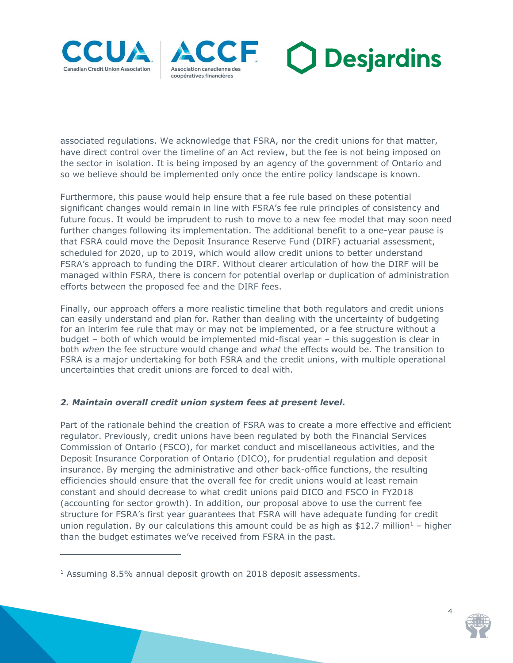

j





associated regulations. We acknowledge that FSRA, nor the credit unions for that matter, have direct control over the timeline of an Act review, but the fee is not being imposed on the sector in isolation. It is being imposed by an agency of the government of Ontario and so we believe should be implemented only once the entire policy landscape is known.

Furthermore, this pause would help ensure that a fee rule based on these potential significant changes would remain in line with FSRA's fee rule principles of consistency and future focus. It would be imprudent to rush to move to a new fee model that may soon need further changes following its implementation. The additional benefit to a one-year pause is that FSRA could move the Deposit Insurance Reserve Fund (DIRF) actuarial assessment, scheduled for 2020, up to 2019, which would allow credit unions to better understand FSRA's approach to funding the DIRF. Without clearer articulation of how the DIRF will be managed within FSRA, there is concern for potential overlap or duplication of administration efforts between the proposed fee and the DIRF fees.

Finally, our approach offers a more realistic timeline that both regulators and credit unions can easily understand and plan for. Rather than dealing with the uncertainty of budgeting for an interim fee rule that may or may not be implemented, or a fee structure without a budget – both of which would be implemented mid-fiscal year – this suggestion is clear in both *when* the fee structure would change and *what* the effects would be. The transition to FSRA is a major undertaking for both FSRA and the credit unions, with multiple operational uncertainties that credit unions are forced to deal with.

# *2. Maintain overall credit union system fees at present level.*

Part of the rationale behind the creation of FSRA was to create a more effective and efficient regulator. Previously, credit unions have been regulated by both the Financial Services Commission of Ontario (FSCO), for market conduct and miscellaneous activities, and the Deposit Insurance Corporation of Ontario (DICO), for prudential regulation and deposit insurance. By merging the administrative and other back-office functions, the resulting efficiencies should ensure that the overall fee for credit unions would at least remain constant and should decrease to what credit unions paid DICO and FSCO in FY2018 (accounting for sector growth). In addition, our proposal above to use the current fee structure for FSRA's first year guarantees that FSRA will have adequate funding for credit union regulation. By our calculations this amount could be as high as \$12.7 million<sup>1</sup> – higher than the budget estimates we've received from FSRA in the past.



<sup>&</sup>lt;sup>1</sup> Assuming 8.5% annual deposit growth on 2018 deposit assessments.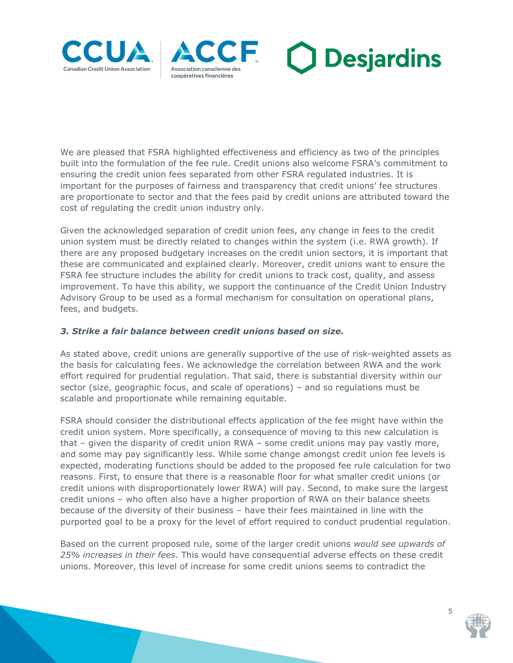





We are pleased that FSRA highlighted effectiveness and efficiency as two of the principles built into the formulation of the fee rule. Credit unions also welcome FSRA's commitment to ensuring the credit union fees separated from other FSRA regulated industries. It is important for the purposes of fairness and transparency that credit unions' fee structures are proportionate to sector and that the fees paid by credit unions are attributed toward the cost of regulating the credit union industry only.

Given the acknowledged separation of credit union fees, any change in fees to the credit union system must be directly related to changes within the system (i.e. RWA growth). If there are any proposed budgetary increases on the credit union sectors, it is important that these are communicated and explained clearly. Moreover, credit unions want to ensure the FSRA fee structure includes the ability for credit unions to track cost, quality, and assess improvement. To have this ability, we support the continuance of the Credit Union Industry Advisory Group to be used as a formal mechanism for consultation on operational plans, fees, and budgets.

## *3. Strike a fair balance between credit unions based on size.*

As stated above, credit unions are generally supportive of the use of risk-weighted assets as the basis for calculating fees. We acknowledge the correlation between RWA and the work effort required for prudential regulation. That said, there is substantial diversity within our sector (size, geographic focus, and scale of operations) – and so regulations must be scalable and proportionate while remaining equitable.

FSRA should consider the distributional effects application of the fee might have within the credit union system. More specifically, a consequence of moving to this new calculation is that – given the disparity of credit union RWA – some credit unions may pay vastly more, and some may pay significantly less. While some change amongst credit union fee levels is expected, moderating functions should be added to the proposed fee rule calculation for two reasons. First, to ensure that there is a reasonable floor for what smaller credit unions (or credit unions with disproportionately lower RWA) will pay. Second, to make sure the largest credit unions – who often also have a higher proportion of RWA on their balance sheets because of the diversity of their business – have their fees maintained in line with the purported goal to be a proxy for the level of effort required to conduct prudential regulation.

Based on the current proposed rule, some of the larger credit unions *would see upwards of 25% increases in their fees*. This would have consequential adverse effects on these credit unions. Moreover, this level of increase for some credit unions seems to contradict the



5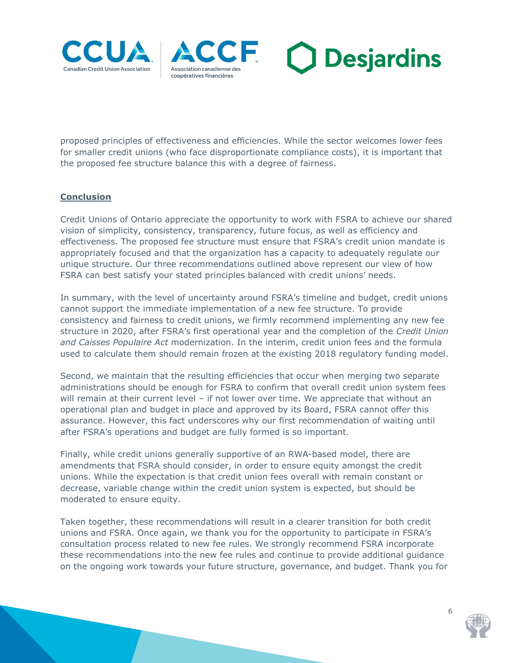





proposed principles of effectiveness and efficiencies. While the sector welcomes lower fees for smaller credit unions (who face disproportionate compliance costs), it is important that the proposed fee structure balance this with a degree of fairness.

### **Conclusion**

Credit Unions of Ontario appreciate the opportunity to work with FSRA to achieve our shared vision of simplicity, consistency, transparency, future focus, as well as efficiency and effectiveness. The proposed fee structure must ensure that FSRA's credit union mandate is appropriately focused and that the organization has a capacity to adequately regulate our unique structure. Our three recommendations outlined above represent our view of how FSRA can best satisfy your stated principles balanced with credit unions' needs.

In summary, with the level of uncertainty around FSRA's timeline and budget, credit unions cannot support the immediate implementation of a new fee structure. To provide consistency and fairness to credit unions, we firmly recommend implementing any new fee structure in 2020, after FSRA's first operational year and the completion of the *Credit Union and Caisses Populaire Act* modernization. In the interim, credit union fees and the formula used to calculate them should remain frozen at the existing 2018 regulatory funding model.

Second, we maintain that the resulting efficiencies that occur when merging two separate administrations should be enough for FSRA to confirm that overall credit union system fees will remain at their current level – if not lower over time. We appreciate that without an operational plan and budget in place and approved by its Board, FSRA cannot offer this assurance. However, this fact underscores why our first recommendation of waiting until after FSRA's operations and budget are fully formed is so important.

Finally, while credit unions generally supportive of an RWA-based model, there are amendments that FSRA should consider, in order to ensure equity amongst the credit unions. While the expectation is that credit union fees overall with remain constant or decrease, variable change within the credit union system is expected, but should be moderated to ensure equity.

Taken together, these recommendations will result in a clearer transition for both credit unions and FSRA. Once again, we thank you for the opportunity to participate in FSRA's consultation process related to new fee rules. We strongly recommend FSRA incorporate these recommendations into the new fee rules and continue to provide additional guidance on the ongoing work towards your future structure, governance, and budget. Thank you for